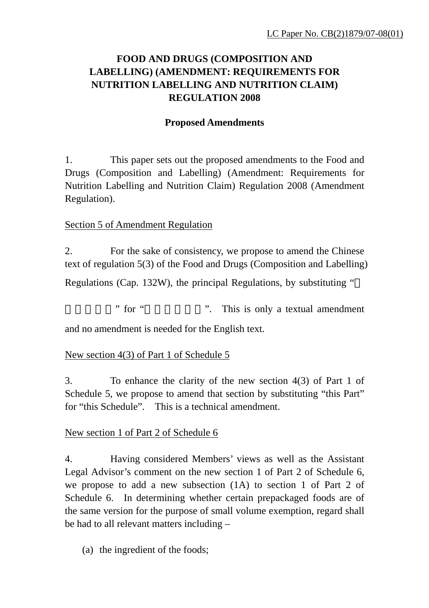# **FOOD AND DRUGS (COMPOSITION AND LABELLING) (AMENDMENT: REQUIREMENTS FOR NUTRITION LABELLING AND NUTRITION CLAIM) REGULATION 2008**

## **Proposed Amendments**

1. This paper sets out the proposed amendments to the Food and Drugs (Composition and Labelling) (Amendment: Requirements for Nutrition Labelling and Nutrition Claim) Regulation 2008 (Amendment Regulation).

### Section 5 of Amendment Regulation

2. For the sake of consistency, we propose to amend the Chinese text of regulation 5(3) of the Food and Drugs (Composition and Labelling)

Regulations (Cap. 132W), the principal Regulations, by substituting "

" for " ". This is only a textual amendment".

and no amendment is needed for the English text.

#### New section 4(3) of Part 1 of Schedule 5

3. To enhance the clarity of the new section 4(3) of Part 1 of Schedule 5, we propose to amend that section by substituting "this Part" for "this Schedule". This is a technical amendment.

#### New section 1 of Part 2 of Schedule 6

4. Having considered Members' views as well as the Assistant Legal Advisor's comment on the new section 1 of Part 2 of Schedule 6, we propose to add a new subsection (1A) to section 1 of Part 2 of Schedule 6. In determining whether certain prepackaged foods are of the same version for the purpose of small volume exemption, regard shall be had to all relevant matters including –

(a) the ingredient of the foods;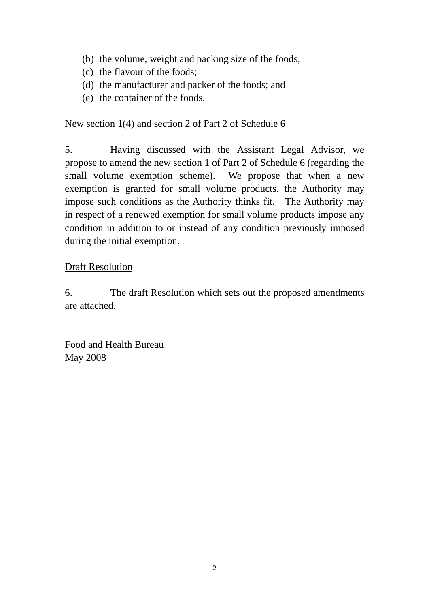- (b) the volume, weight and packing size of the foods;
- (c) the flavour of the foods;
- (d) the manufacturer and packer of the foods; and
- (e) the container of the foods.

### New section 1(4) and section 2 of Part 2 of Schedule 6

5. Having discussed with the Assistant Legal Advisor, we propose to amend the new section 1 of Part 2 of Schedule 6 (regarding the small volume exemption scheme). We propose that when a new exemption is granted for small volume products, the Authority may impose such conditions as the Authority thinks fit. The Authority may in respect of a renewed exemption for small volume products impose any condition in addition to or instead of any condition previously imposed during the initial exemption.

### Draft Resolution

6. The draft Resolution which sets out the proposed amendments are attached.

Food and Health Bureau May 2008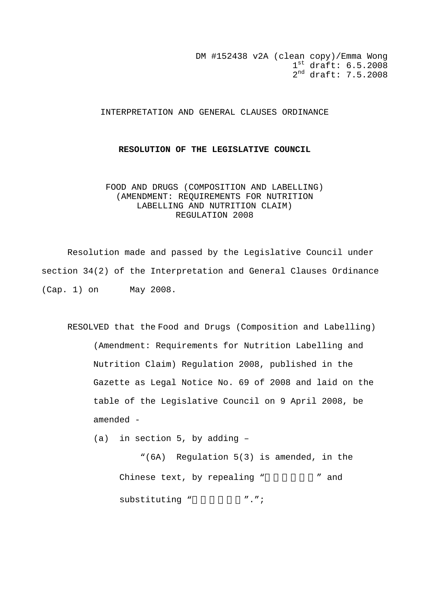DM #152438 v2A (clean copy)/Emma Wong  $1^{\text{st}}$  draft:  $6.5.2008$ 2nd draft: 7.5.2008

#### INTERPRETATION AND GENERAL CLAUSES ORDINANCE

#### **RESOLUTION OF THE LEGISLATIVE COUNCIL**

#### FOOD AND DRUGS (COMPOSITION AND LABELLING) (AMENDMENT: REQUIREMENTS FOR NUTRITION LABELLING AND NUTRITION CLAIM) REGULATION 2008

 Resolution made and passed by the Legislative Council under section 34(2) of the Interpretation and General Clauses Ordinance (Cap. 1) on May 2008.

RESOLVED that the Food and Drugs (Composition and Labelling) (Amendment: Requirements for Nutrition Labelling and Nutrition Claim) Regulation 2008, published in the Gazette as Legal Notice No. 69 of 2008 and laid on the table of the Legislative Council on 9 April 2008, be amended -

(a) in section 5, by adding –

"(6A) Regulation 5(3) is amended, in the Chinese text, by repealing " " and substituting " ...";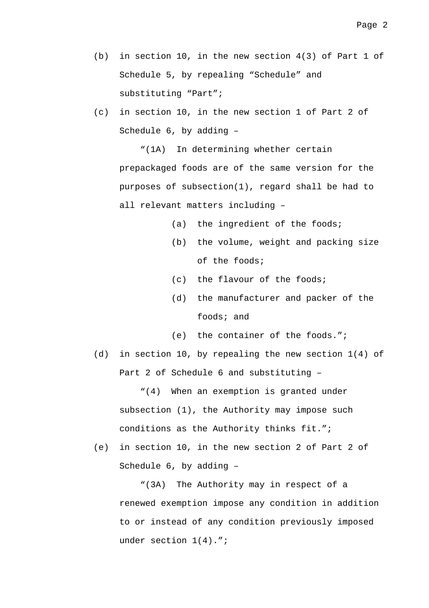- (b) in section 10, in the new section 4(3) of Part 1 of Schedule 5, by repealing "Schedule" and substituting "Part";
- (c) in section 10, in the new section 1 of Part 2 of Schedule 6, by adding –

"(1A) In determining whether certain prepackaged foods are of the same version for the purposes of subsection(1), regard shall be had to all relevant matters including –

- (a) the ingredient of the foods;
- (b) the volume, weight and packing size of the foods;
- (c) the flavour of the foods;
- (d) the manufacturer and packer of the foods; and
- (e) the container of the foods.";
- (d) in section 10, by repealing the new section 1(4) of Part 2 of Schedule 6 and substituting –

"(4) When an exemption is granted under subsection (1), the Authority may impose such conditions as the Authority thinks fit.";

(e) in section 10, in the new section 2 of Part 2 of Schedule 6, by adding –

"(3A) The Authority may in respect of a renewed exemption impose any condition in addition to or instead of any condition previously imposed under section 1(4).";